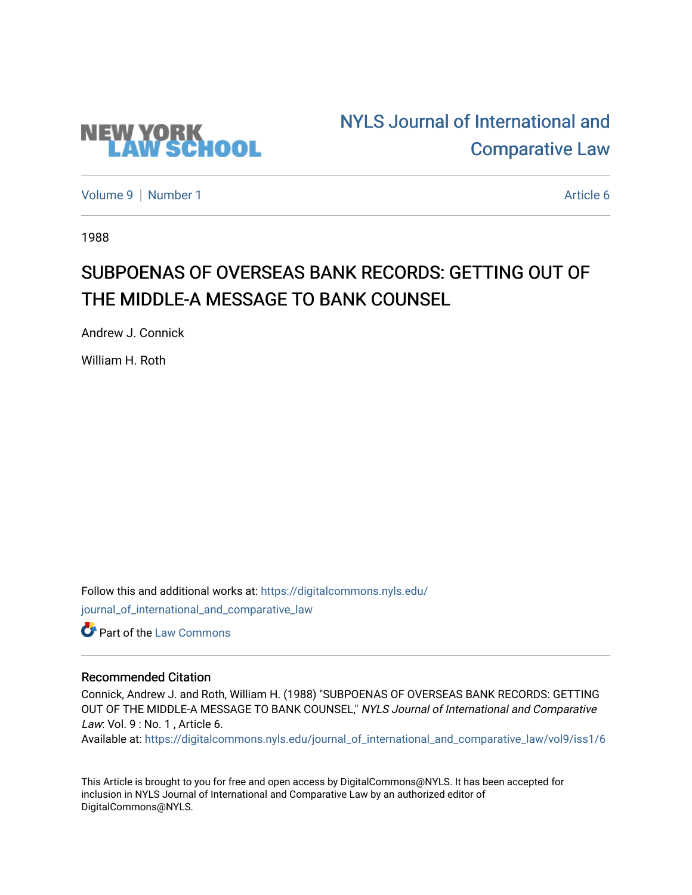

# [NYLS Journal of International and](https://digitalcommons.nyls.edu/journal_of_international_and_comparative_law)  [Comparative Law](https://digitalcommons.nyls.edu/journal_of_international_and_comparative_law)

[Volume 9](https://digitalcommons.nyls.edu/journal_of_international_and_comparative_law/vol9) | [Number 1](https://digitalcommons.nyls.edu/journal_of_international_and_comparative_law/vol9/iss1) Article 6

1988

## SUBPOENAS OF OVERSEAS BANK RECORDS: GETTING OUT OF THE MIDDLE-A MESSAGE TO BANK COUNSEL

Andrew J. Connick

William H. Roth

Follow this and additional works at: [https://digitalcommons.nyls.edu/](https://digitalcommons.nyls.edu/journal_of_international_and_comparative_law?utm_source=digitalcommons.nyls.edu%2Fjournal_of_international_and_comparative_law%2Fvol9%2Fiss1%2F6&utm_medium=PDF&utm_campaign=PDFCoverPages) [journal\\_of\\_international\\_and\\_comparative\\_law](https://digitalcommons.nyls.edu/journal_of_international_and_comparative_law?utm_source=digitalcommons.nyls.edu%2Fjournal_of_international_and_comparative_law%2Fvol9%2Fiss1%2F6&utm_medium=PDF&utm_campaign=PDFCoverPages) 

**C** Part of the [Law Commons](http://network.bepress.com/hgg/discipline/578?utm_source=digitalcommons.nyls.edu%2Fjournal_of_international_and_comparative_law%2Fvol9%2Fiss1%2F6&utm_medium=PDF&utm_campaign=PDFCoverPages)

### Recommended Citation

Connick, Andrew J. and Roth, William H. (1988) "SUBPOENAS OF OVERSEAS BANK RECORDS: GETTING OUT OF THE MIDDLE-A MESSAGE TO BANK COUNSEL," NYLS Journal of International and Comparative Law: Vol. 9 : No. 1, Article 6.

Available at: [https://digitalcommons.nyls.edu/journal\\_of\\_international\\_and\\_comparative\\_law/vol9/iss1/6](https://digitalcommons.nyls.edu/journal_of_international_and_comparative_law/vol9/iss1/6?utm_source=digitalcommons.nyls.edu%2Fjournal_of_international_and_comparative_law%2Fvol9%2Fiss1%2F6&utm_medium=PDF&utm_campaign=PDFCoverPages) 

This Article is brought to you for free and open access by DigitalCommons@NYLS. It has been accepted for inclusion in NYLS Journal of International and Comparative Law by an authorized editor of DigitalCommons@NYLS.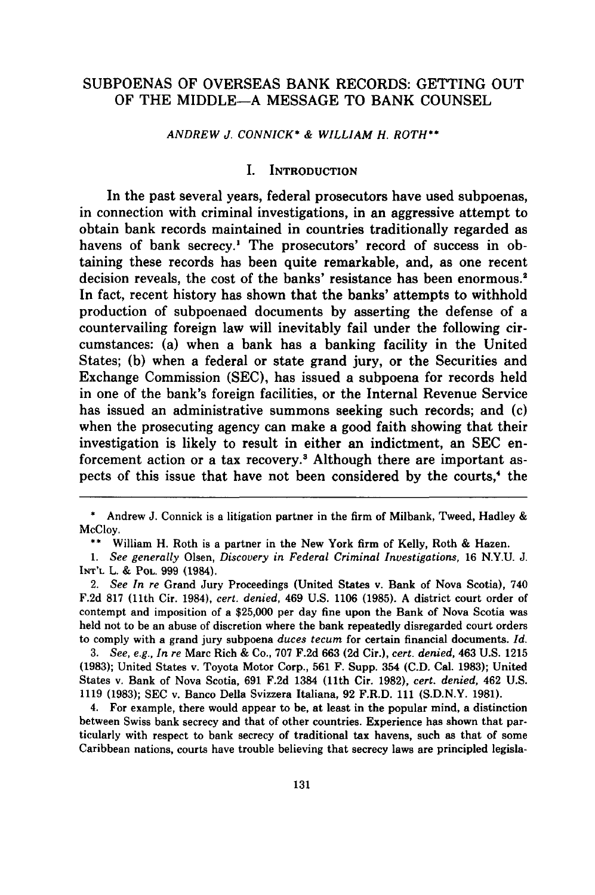#### **SUBPOENAS** OF **OVERSEAS** BANK RECORDS: **GETTING OUT** OF THE **MIDDLE-A MESSAGE** TO BANK **COUNSEL**

*ANDREW J. CONNICK\* & WILLIAM H. ROTH\*\**

#### I. INTRODUCTION

In the past several years, federal prosecutors have used subpoenas, in connection with criminal investigations, in an aggressive attempt to obtain bank records maintained in countries traditionally regarded as havens of bank secrecy.' The prosecutors' record of success in obtaining these records has been quite remarkable, and, as one recent decision reveals, the cost of the banks' resistance has been enormous.<sup>2</sup> In fact, recent history has shown that the banks' attempts to withhold production of subpoenaed documents by asserting the defense of a countervailing foreign law will inevitably fail under the following circumstances: (a) when a bank has a banking facility in the United States; (b) when a federal or state grand jury, or the Securities and Exchange Commission (SEC), has issued a subpoena for records held in one of the bank's foreign facilities, or the Internal Revenue Service has issued an administrative summons seeking such records; and (c) when the prosecuting agency can make a good faith showing that their investigation is likely to result in either an indictment, an SEC enforcement action or a tax recovery.<sup>3</sup> Although there are important aspects of this issue that have not been considered by the courts,<sup>4</sup> the

*3. See, e.g., In re* Marc Rich **&** Co., **707 F.2d 663 (2d** Cir.), *cert. denied,* 463 **U.S.** 1215 **(1983);** United States v. Toyota Motor Corp., **561** F. Supp. 354 **(C.D.** Cal. **1983);** United States v. Bank of Nova Scotia, **691 F.2d** 1384 (11th Cir. **1982),** *cert. denied,* 462 **U.S. 1119 (1983); SEC** v. Banco Della Svizzera Italiana, **92** F.R.D. **111 (S.D.N.Y. 1981).**

4. For example, there would appear to be, at least in the popular mind, a distinction between Swiss bank secrecy and that of other countries. Experience has shown that particularly with respect to bank secrecy of traditional tax havens, such as that of some Caribbean nations, courts have trouble believing that secrecy laws are principled legisla-

<sup>\*</sup> Andrew J. Connick is a litigation partner in the firm of Milbank, Tweed, Hadley & McCloy.

<sup>\*\*</sup> William H. Roth is a partner in the New York firm of Kelly, Roth & Hazen.

*<sup>1.</sup> See generally* Olsen, *Discovery in Federal Criminal Investigations,* **16** N.Y.U. J. **INT'L** L. **& POL. 999** (1984).

<sup>2.</sup> *See In re* Grand Jury Proceedings (United States v. Bank of Nova Scotia), 740 **F.2d 817** (11th Cir. 1984), *cert. denied,* 469 **U.S. 1106 (1985). A** district court order of contempt and imposition of a **\$25,000** per day fine upon the Bank of Nova Scotia was held not to be an abuse of discretion where the bank repeatedly disregarded court orders to comply with a grand jury subpoena *duces tecum* for certain financial documents. *Id.*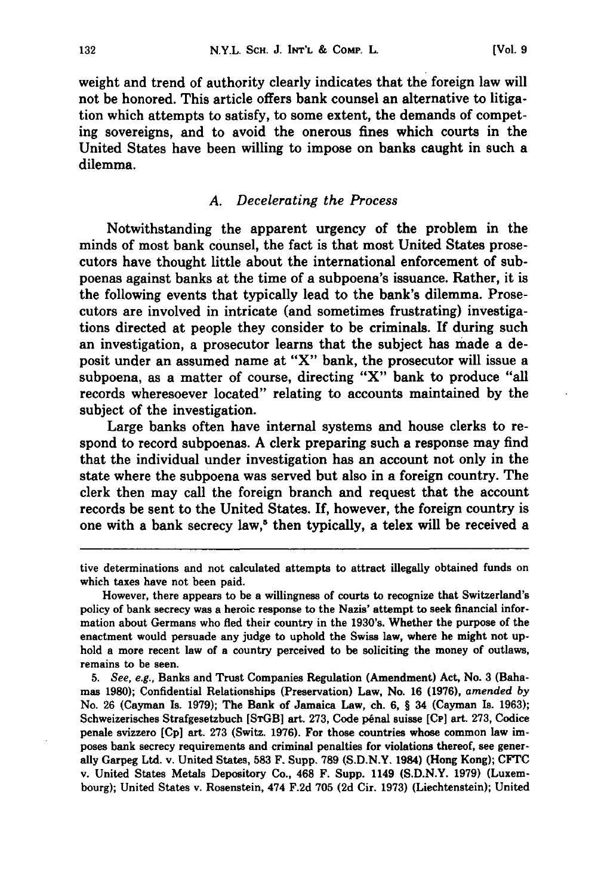weight and trend of authority clearly indicates that the foreign law will not be honored. This article offers bank counsel an alternative to litigation which attempts to satisfy, to some extent, the demands of competing sovereigns, and to avoid the onerous fines which courts in the United States have been willing to impose on banks caught in such a dilemma.

#### *A. Decelerating the Process*

Notwithstanding the apparent urgency of the problem in the minds of most bank counsel, the fact is that most United States prosecutors have thought little about the international enforcement of subpoenas against banks at the time of a subpoena's issuance. Rather, it is the following events that typically lead to the bank's dilemma. Prosecutors are involved in intricate (and sometimes frustrating) investigations directed at people they consider to be criminals. **If** during such an investigation, a prosecutor learns that the subject has made a deposit under an assumed name at "X" bank, the prosecutor will issue a subpoena, as a matter of course, directing "X" bank to produce "all records wheresoever located" relating to accounts maintained **by** the subject of the investigation.

Large banks often have internal systems and house clerks to respond to record subpoenas. **A** clerk preparing such a response may find that the individual under investigation has an account not only in the state where the subpoena was served but also in a foreign country. The clerk then may call the foreign branch and request that the account records be sent to the United States. If, however, the foreign country is one with a bank secrecy law,' then typically, a telex will be received a

tive determinations and not calculated attempts to attract illegally obtained funds on which taxes have not been paid.

However, there appears to be a willingness of courts to recognize that Switzerland's policy of bank secrecy was a heroic response to the Nazis' attempt to seek financial information about Germans who fled their country in the 1930's. Whether the purpose of the enactment would persuade any judge to uphold the Swiss law, where he might not uphold a more recent law of a country perceived to be soliciting the money of outlaws, remains **to** be seen.

*5. See, e.g.,* Banks and Trust Companies Regulation (Amendment) Act, No. **3** (Bahamas **1980);** Confidential Relationships (Preservation) Law, No. **16 (1976),** *amended by* No. **26** (Cayman Is. **1979);** The Bank of Jamaica Law, ch. **6,** § 34 (Cayman Is. **1963);** Schweizerisches Strafgesetzbuch **[SrGB]** art. **273,** Code penal suisse **[Cp]** art. **273,** Codice penale svizzero **[Cp]** art. **273** (Switz. **1976).** For those countries whose common law imposes bank secrecy requirements and criminal penalties for violations thereof, see generally Garpeg Ltd. v. United States, **583** F. Supp. **789 (S.D.N.Y.** 1984) (Hong Kong); **CFTC** v. United States Metals Depository Co., 468 F. Supp. 1149 **(S.D.N.Y. 1979)** (Luxembourg); United States v. Rosenstein, 474 **F.2d 705 (2d** Cir. **1973)** (Liechtenstein); United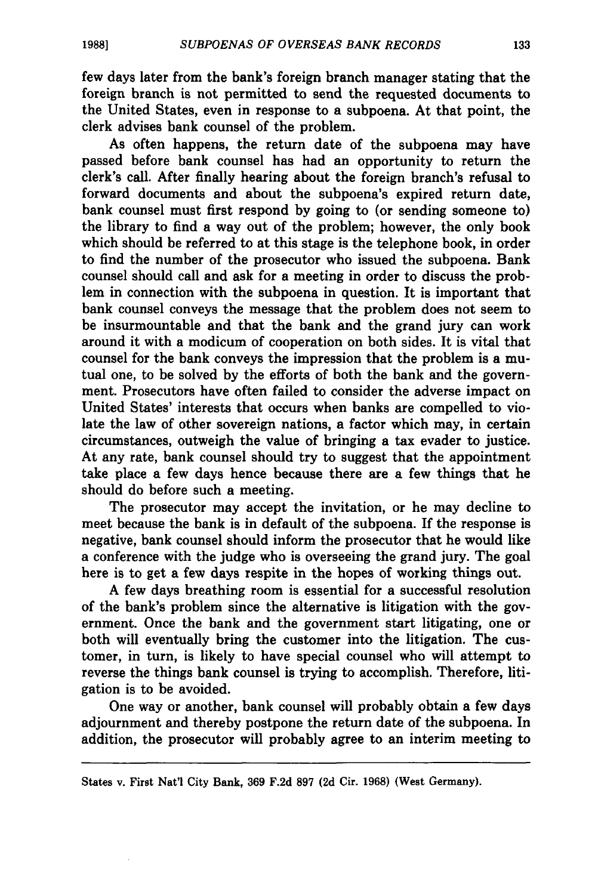few days later from the bank's foreign branch manager stating that the foreign branch is not permitted to send the requested documents to the United States, even in response to a subpoena. At that point, the clerk advises bank counsel of the problem.

As often happens, the return date of the subpoena may have passed before bank counsel has had an opportunity to return the clerk's call. After finally hearing about the foreign branch's refusal to forward documents and about the subpoena's expired return date, bank counsel must first respond **by** going to (or sending someone to) the library to find a way out of the problem; however, the only book which should be referred to at this stage is the telephone book, in order to find the number of the prosecutor who issued the subpoena. Bank counsel should call and ask for a meeting in order to discuss the problem in connection with the subpoena in question. It is important that bank counsel conveys the message that the problem does not seem to be insurmountable and that the bank and the grand jury can work around it with a modicum of cooperation on both sides. It is vital that counsel for the bank conveys the impression that the problem is a mutual one, to be solved **by** the efforts of both the bank and the government. Prosecutors have often failed to consider the adverse impact on United States' interests that occurs when banks are compelled to violate the law of other sovereign nations, a factor which may, in certain circumstances, outweigh the value of bringing a tax evader to justice. At any rate, bank counsel should try to suggest that the appointment take place a few days hence because there are a few things that he should do before such a meeting.

The prosecutor may accept the invitation, or he may decline to meet because the bank is in default of the subpoena. If the response is negative, bank counsel should inform the prosecutor that he would like a conference with the judge who is overseeing the grand jury. The goal here is to get a few days respite in the hopes of working things out.

**A** few days breathing room is essential for a successful resolution of the bank's problem since the alternative is litigation with the government. Once the bank and the government start litigating, one or both will eventually bring the customer into the litigation. The customer, in turn, is likely to have special counsel who will attempt to reverse the things bank counsel is trying to accomplish. Therefore, litigation is to be avoided.

One way or another, bank counsel will probably obtain a few days adjournment and thereby postpone the return date of the subpoena. In addition, the prosecutor will probably agree to an interim meeting to

States v. First Nat'l City Bank, **369 F.2d 897 (2d** Cir. **1968)** (West Germany).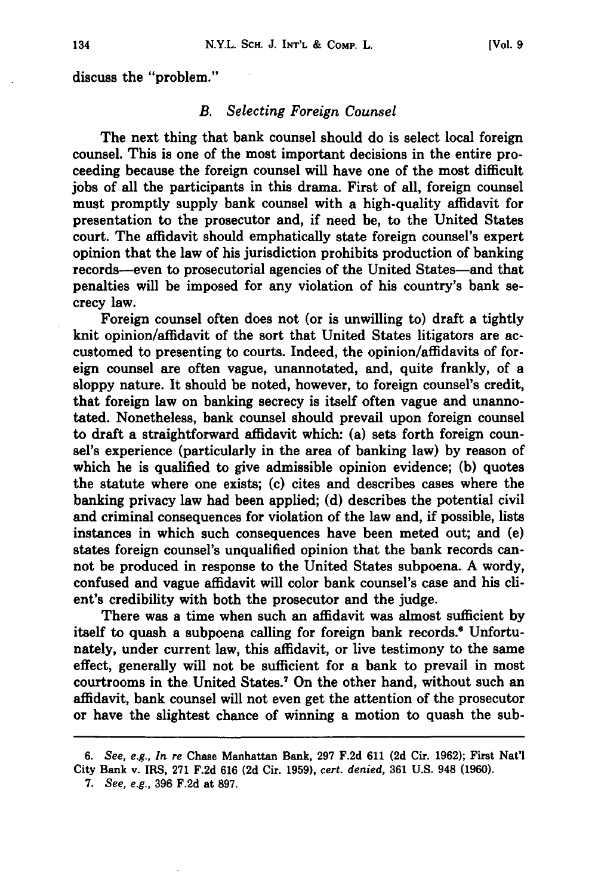#### *B. Selecting Foreign Counsel*

The next thing that bank counsel should do is select local foreign counsel. This is one of the most important decisions in the entire proceeding because the foreign counsel will have one of the most difficult jobs of all the participants in this drama. First of all, foreign counsel must promptly supply bank counsel with a high-quality affidavit for presentation to the prosecutor and, if need be, to the United States court. The affidavit should emphatically state foreign counsel's expert opinion that the law of his jurisdiction prohibits production of banking records-even to prosecutorial agencies of the United States-and that penalties will be imposed for any violation of his country's bank secrecy law.

Foreign counsel often does not (or is unwilling to) draft a tightly knit opinion/affidavit of the sort that United States litigators are accustomed to presenting to courts. Indeed, the opinion/affidavits of foreign counsel are often vague, unannotated, and, quite frankly, of a **sloppy** nature. It should be noted, however, to foreign counsel's credit, that foreign law on banking secrecy is itself often vague and unannotated. Nonetheless, bank counsel should prevail upon foreign counsel to draft a straightforward affidavit which: (a) sets forth foreign counsel's experience (particularly in the area of banking law) **by** reason of which he is qualified to give admissible opinion evidence; **(b)** quotes the statute where one exists; **(c)** cites and describes cases where the banking privacy law had been applied; **(d)** describes the potential civil and criminal consequences for violation of the law and, if possible, lists instances in which such consequences have been meted out; and (e) states foreign counsel's unqualified opinion that the bank records cannot be produced in response to the United States subpoena. **A** wordy, confused and vague affidavit will color bank counsel's case and his client's credibility with both the prosecutor and the judge.

There was a time when such an affidavit was almost sufficient **by** itself to quash a subpoena calling for foreign bank records." Unfortunately, under current law, this affidavit, or live testimony to the same effect, generally will not be sufficient for a bank to prevail in most courtrooms in the United States.7 On the other hand, without such an affidavit, bank counsel will not even get the attention of the prosecutor or have the slightest chance of winning a motion to quash the sub-

**7.** *See, e.g.,* **396 F.2d** at **897.**

*<sup>6.</sup> See, e.g., In re* Chase Manhattan Bank, **297 F.2d 611 (2d Cir. 1962);** First Nat'l City Bank v. IRS, **271 F.2d 616 (2d** Cir. **1959),** *cert. denied,* **361 U.S.** 948 **(1960).**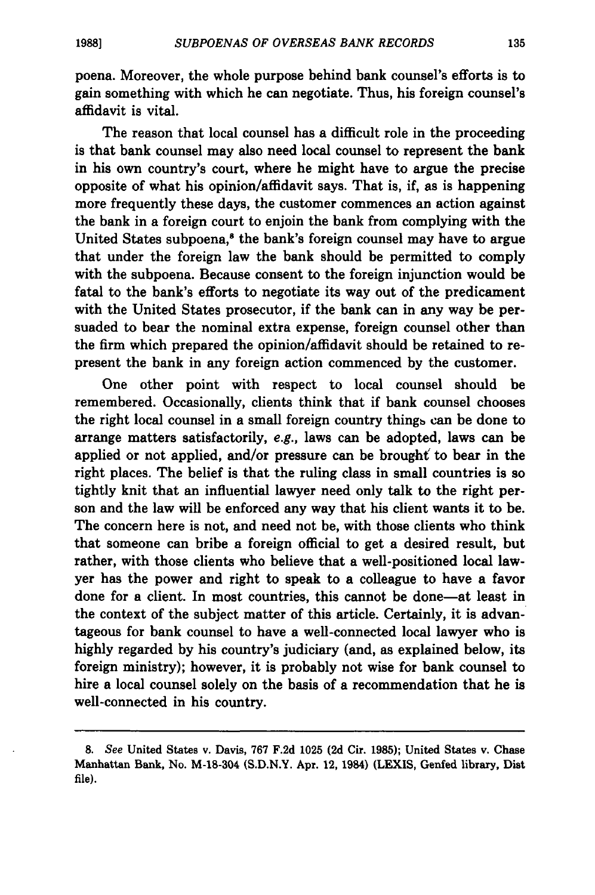poena. Moreover, the whole purpose behind bank counsel's efforts is to gain something with which he can negotiate. Thus, his foreign counsel's affidavit is vital.

The reason that local counsel has a difficult role in the proceeding is that bank counsel may also need local counsel to represent the bank in his own country's court, where he might have to argue the precise opposite of what his opinion/affidavit says. That is, if, as is happening more frequently these days, the customer commences an action against the bank in a foreign court to enjoin the bank from complying with the United States subpoena,<sup>8</sup> the bank's foreign counsel may have to argue that under the foreign law the bank should be permitted to comply with the subpoena. Because consent to the foreign injunction would be fatal to the bank's efforts to negotiate its way out of the predicament with the United States prosecutor, if the bank can in any way be persuaded to bear the nominal extra expense, foreign counsel other than the firm which prepared the opinion/affidavit should be retained to represent the bank in any foreign action commenced **by** the customer.

One other point with respect to local counsel should be remembered. Occasionally, clients think that if bank counsel chooses the right local counsel in a small foreign country things can be done to arrange matters satisfactorily, e.g., laws can be adopted, laws can be applied or not applied, and/or pressure can be brought' to bear in the right places. The belief is that the ruling class in small countries is so tightly knit that an influential lawyer need only talk to the right person and the law will be enforced any way that his client wants it to be. The concern here is not, and need not be, with those clients who think that someone can bribe a foreign official to get a desired result, but rather, with those clients who believe that a well-positioned local lawyer has the power and right to speak to a colleague to have a favor done for a client. In most countries, this cannot be done-at least in the context of the subject matter of this article. Certainly, it is advantageous for bank counsel to have a well-connected local lawyer who is highly regarded by his country's judiciary (and, as explained below, its foreign ministry); however, it is probably not wise for bank counsel to hire a local counsel solely on the basis of a recommendation that he is well-connected in his country.

*<sup>8.</sup> See* United States v. Davis, **767** F.2d **1025 (2d** Cir. **1985);** United States v. Chase Manhattan Bank, No. M-18-304 **(S.D.N.Y.** Apr. 12, 1984) **(LEXIS,** Genfed library, **Dist** file).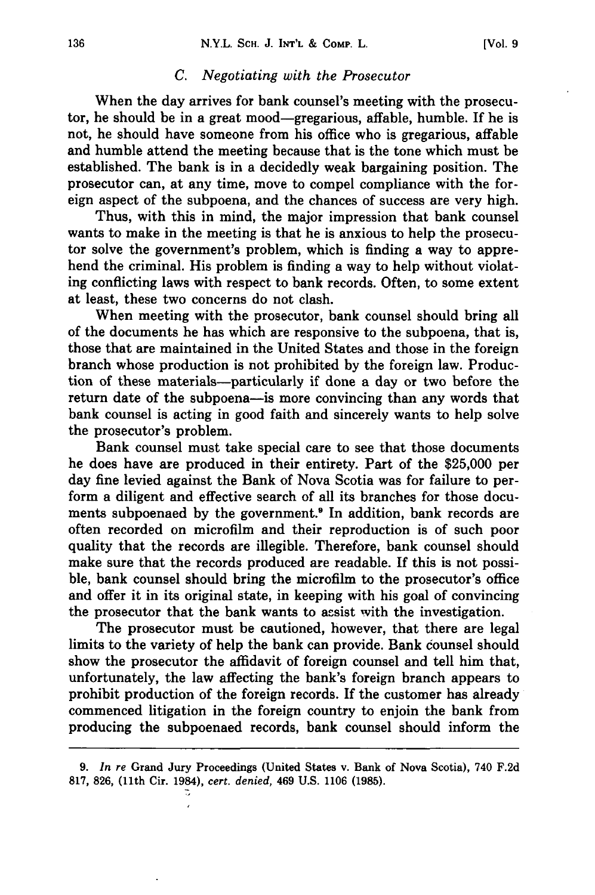#### *C. Negotiating with the Prosecutor*

When the day arrives for bank counsel's meeting with the prosecutor, he should be in a great mood-gregarious, affable, humble. If he is not, he should have someone from his office who is gregarious, affable and humble attend the meeting because that is the tone which must be established. The bank is in a decidedly weak bargaining position. The prosecutor can, at any time, move to compel compliance with the foreign aspect of the subpoena, and the chances of success are very high.

Thus, with this in mind, the major impression that bank counsel wants to make in the meeting is that he is anxious to help the prosecutor solve the government's problem, which is finding a way to apprehend the criminal. His problem is finding a way to help without violating conflicting laws with respect to bank records. Often, to some extent at least, these two concerns do not clash.

When meeting with the prosecutor, bank counsel should bring all of the documents he has which are responsive to the subpoena, that is, those that are maintained in the United States and those in the foreign branch whose production is not prohibited by the foreign law. Production of these materials-particularly if done a day or two before the return date of the subpoena-is more convincing than any words that bank counsel is acting in good faith and sincerely wants to help solve the prosecutor's problem.

Bank counsel must take special care to see that those documents he does have are produced in their entirety. Part of the \$25,000 per day fine levied against the Bank of Nova Scotia was for failure to perform a diligent and effective search of all its branches for those documents subpoenaed by the government.<sup>8</sup> In addition, bank records are often recorded on microfilm and their reproduction is of such poor quality that the records are illegible. Therefore, bank counsel should make sure that the records produced are readable. If this is not possible, bank counsel should bring the microfilm to the prosecutor's office and offer it in its original state, in keeping with his goal of convincing the prosecutor that the bank wants to assist with the investigation.

The prosecutor must be cautioned, however, that there are legal limits to the variety of help the bank can provide. Bank counsel should show the prosecutor the affidavit of foreign counsel and tell him that, unfortunately, the law affecting the bank's foreign branch appears to prohibit production of the foreign records. **If** the customer has already commenced litigation in the foreign country to enjoin the bank from producing the subpoenaed records, bank counsel should inform the

**<sup>9.</sup>** *In re* Grand Jury Proceedings (United States v. Bank of Nova Scotia), 740 **F.2d** 817, 826, (11th Cir. 1984), *cert. denied,* 469 U.S. 1106 (1985).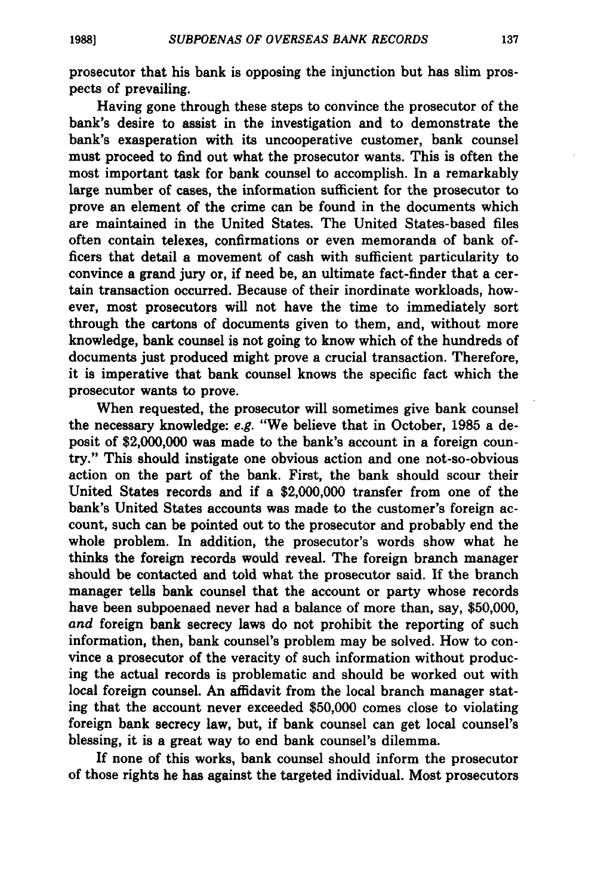prosecutor that his bank is opposing the injunction but has slim prospects of prevailing.

Having gone through these steps to convince the prosecutor of the bank's desire to assist in the investigation and to demonstrate the bank's exasperation with its uncooperative customer, bank counsel must proceed to find out what the prosecutor wants. This is often the most important task for bank counsel to accomplish. In a remarkably large number of cases, the information sufficient for the prosecutor to prove an element of the crime can be found in the documents which are maintained in the United States. The United States-based files often contain telexes, confirmations or even memoranda of bank officers that detail a movement of cash with sufficient particularity to convince a grand jury or, if need be, an ultimate fact-finder that a certain transaction occurred. Because of their inordinate workloads, however, most prosecutors will not have the time to immediately sort through the cartons of documents given to them, and, without more knowledge, bank counsel is not going to know which of the hundreds of documents just produced might prove a crucial transaction. Therefore, it is imperative that bank counsel knows the specific fact which the prosecutor wants to prove.

When requested, the prosecutor will sometimes give bank counsel the necessary knowledge: *e.g.* "We believe that in October, **1985** a deposit of \$2,000,000 was made to the bank's account in a foreign country." This should instigate one obvious action and one not-so-obvious action on the part of the bank. First, the bank should scour their United States records and if a \$2,000,000 transfer from one of the bank's United States accounts was made to the customer's foreign account, such can be pointed out to the prosecutor and probably end the whole problem. In addition, the prosecutor's words show what he thinks the foreign records would reveal. The foreign branch manager should be contacted and told what the prosecutor said. If the branch manager tells bank counsel that the account or party whose records have been subpoenaed never had a balance of more than, say, \$50,000, *and* foreign bank secrecy laws do not prohibit the reporting of such information, then, bank counsel's problem may be solved. How to convince a prosecutor of the veracity of such information without producing the actual records is problematic and should be worked out with local foreign counsel. An affidavit from the local branch manager stating that the account never exceeded \$50,000 comes close to violating foreign bank secrecy law, but, if bank counsel can get local counsel's blessing, it is a great way to end bank counsel's dilemma.

If none of this works, bank counsel should inform the prosecutor of those rights he has against the targeted individual. Most prosecutors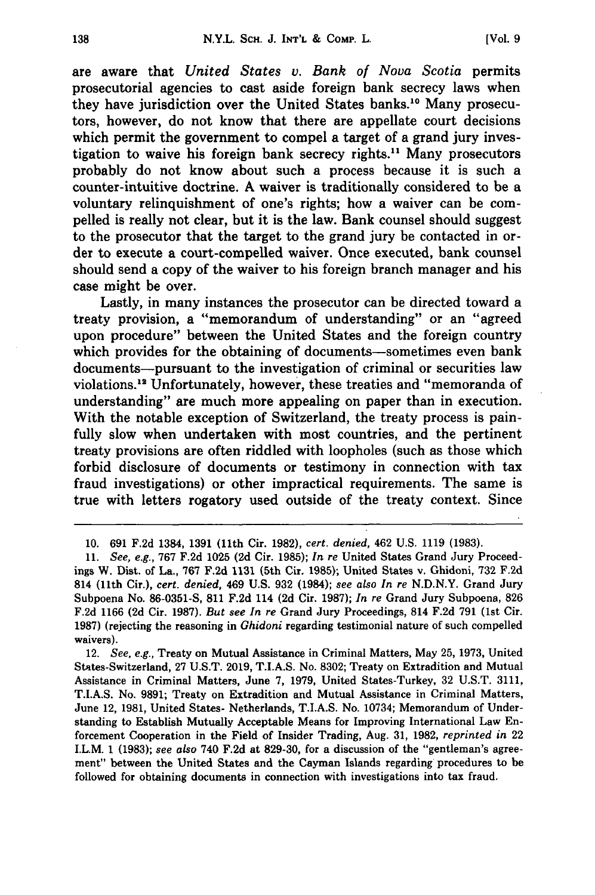are aware that *United States v. Bank of Nova Scotia* permits prosecutorial agencies to cast aside foreign bank secrecy laws when they have jurisdiction over the United States banks.<sup>10</sup> Many prosecutors, however, do not know that there are appellate court decisions which permit the government to compel a target of a grand jury investigation to waive his foreign bank secrecy rights." Many prosecutors probably do not know about such a process because it is such a counter-intuitive doctrine. **A** waiver is traditionally considered to be a voluntary relinquishment of one's rights; how a waiver can be compelled is really not clear, but it is the law. Bank counsel should suggest to the prosecutor that the target to the grand jury be contacted in order to execute a court-compelled waiver. Once executed, bank counsel should send a copy of the waiver to his foreign branch manager and his case might be over.

Lastly, in many instances the prosecutor can be directed toward a treaty provision, a "memorandum of understanding" or an "agreed upon procedure" between the United States and the foreign country which provides for the obtaining of documents-sometimes even bank documents--pursuant to the investigation of criminal or securities law violations.<sup>12</sup> Unfortunately, however, these treaties and "memoranda of understanding" are much more appealing on paper than in execution. With the notable exception of Switzerland, the treaty process is painfully slow when undertaken with most countries, and the pertinent treaty provisions are often riddled with loopholes (such as those which forbid disclosure of documents or testimony in connection with tax fraud investigations) or other impractical requirements. The same is true with letters rogatory used outside of the treaty context. Since

12. *See, e.g.,* Treaty on Mutual Assistance in Criminal Matters, May 25, **1973,** United States-Switzerland, **27 U.S.T. 2019,** T.I.A.S. No. **8302;** Treaty on Extradition and Mutual Assistance in Criminal Matters, June **7, 1979,** United States-Turkey, **32 U.S.T. 3111, T.I.A.S.** No. **9891;** Treaty on Extradition and Mutual Assistance in Criminal Matters, June 12, **1981,** United States- Netherlands, T.I.A.S. No. 10734; Memorandum of Understanding to Establish Mutually Acceptable Means for Improving International Law Enforcement Cooperation in the Field of Insider Trading, Aug. **31, 1982,** *reprinted in* 22 I.L.M. **1 (1983);** *see also* 740 **F.2d** at **829-30,** for a discussion of the "gentleman's agreement" between the United States and the Cayman Islands regarding procedures to be followed for obtaining documents in connection with investigations into tax fraud.

<sup>10. 691</sup> F.2d 1384, 1391 (11th Cir. 1982), *cert. denied,* 462 U.S. 1119 (1983).

<sup>11.</sup> *See, e.g.,* 767 F.2d 1025 **(2d** Cir. 1985); *In re* United States Grand Jury Proceedings W. Dist. of La., **767 F.2d 1131** (5th Cir. 1985); United States v. Ghidoni, **732 F.2d** 814 (11th Cir.), *cert. denied,* 469 U.S. 932 (1984); *see also In re* N.D.N.Y. Grand Jury Subpoena No. 86-0351-S, 811 F.2d 114 **(2d** Cir. 1987); *In re* Grand Jury Subpoena, 826 F.2d 1166 (2d Cir. 1987). *But see In re* Grand Jury Proceedings, 814 F.2d 791 (1st Cir. 1987) (rejecting the reasoning in *Ghidoni* regarding testimonial nature of such compelled waivers).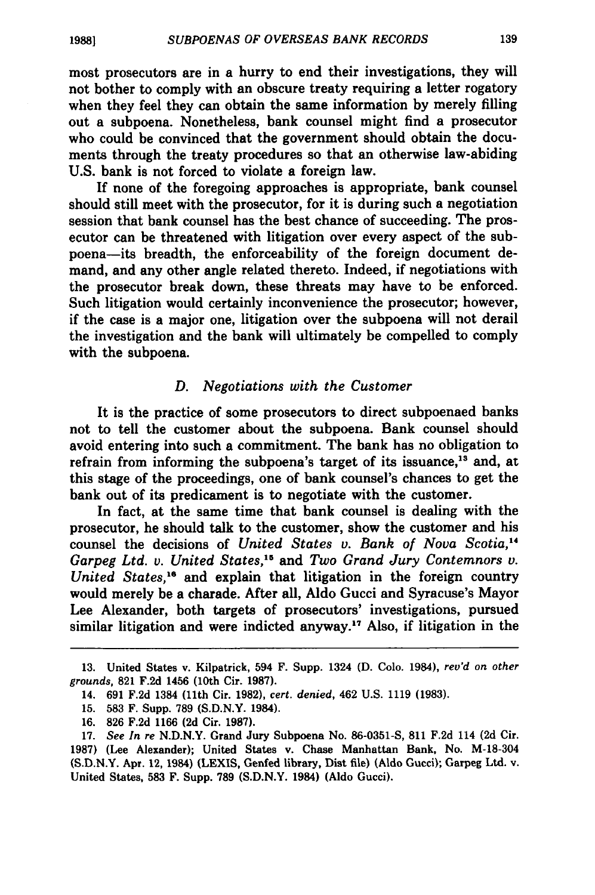most prosecutors are in a hurry to end their investigations, they will not bother to comply with an obscure treaty requiring a letter rogatory when they feel they can obtain the same information **by** merely filling out a subpoena. Nonetheless, bank counsel might find a prosecutor who could be convinced that the government should obtain the documents through the treaty procedures so that an otherwise law-abiding **U.S.** bank is not forced to violate a foreign law.

**If** none of the foregoing approaches is appropriate, bank counsel should still meet with the prosecutor, for it is during such a negotiation session that bank counsel has the best chance of succeeding. The prosecutor can be threatened with litigation over every aspect of the subpoena-its breadth, the enforceability of the foreign document demand, and any other angle related thereto. Indeed, if negotiations with the prosecutor break down, these threats may have to be enforced. Such litigation would certainly inconvenience the prosecutor; however, if the case is a major one, litigation over the subpoena will not derail the investigation and the bank will ultimately be compelled to comply with the subpoena.

#### *D. Negotiations with the Customer*

It is the practice of some prosecutors to direct subpoenaed banks not to tell the customer about the subpoena. Bank counsel should avoid entering into such a commitment. The bank has no obligation to refrain from informing the subpoena's target of its issuance,<sup>13</sup> and, at this stage of the proceedings, one of bank counsel's chances to get the bank out of its predicament is to negotiate with the customer.

In fact, at the same time that bank counsel is dealing with the prosecutor, he should talk to the customer, show the customer and his counsel the decisions of *United States v. Bank of Nova Scotia,4 Garpeg Ltd. v. United States," and Two Grand Jury Contemnors v. United States,"* and explain that litigation in the foreign country would merely be a charade. After all, Aldo Gucci and Syracuse's Mayor Lee Alexander, both targets of prosecutors' investigations, pursued similar litigation and were indicted anyway.<sup>17</sup> Also, if litigation in the

**15. 583** F. Supp. **789 (S.D.N.Y.** 1984).

**<sup>13.</sup>** United States v. Kilpatrick, 594 F. Supp. 1324 **(D. Colo.** 1984), *rev'd on other* grounds, **821 F.2d** 1456 (10th Cir. **1987).**

<sup>14.</sup> **691 F.2d** 1384 (11th Cir. **1982),** cert. *denied,* 462 **U.S. 1119 (1983).**

**<sup>16. 826</sup> F.2d 1166 (2d** Cir. **1987).**

**<sup>17.</sup>** See In re **N.D.N.Y.** Grand Jury Subpoena No. **86-0351-S, 811 F.2d** 114 **(2d** Cir. **1987)** (Lee Alexander); United States v. Chase Manhattan Bank, No. M-18-304 **(S.D.N.Y.** Apr. 12, 1984) **(LEXIS,** Genfed library, Dist file) (Aldo Gucci); Garpeg Ltd. v. United States, **583** F. Supp. **789 (S.D.N.Y.** 1984) (Aldo Gucci).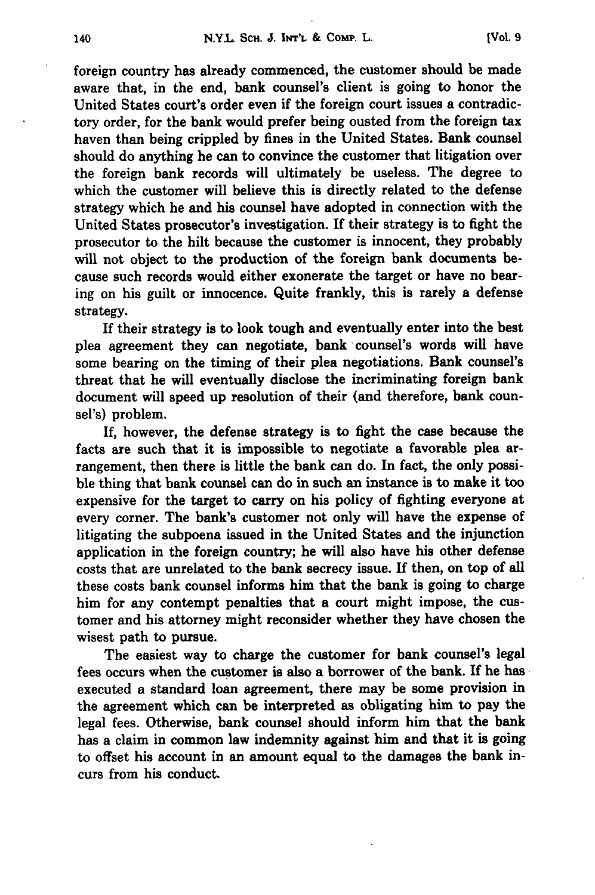foreign country has already commenced, the customer should be made aware that, in the end, bank counsel's client is going to honor the United States court's order even if the foreign court issues a contradictory order, for the bank would prefer being ousted from the foreign tax haven than being crippled **by** fines in the United States. Bank counsel should do anything he can to convince the customer that litigation over the foreign bank records will ultimately be useless. The degree to which the customer will believe this is directly related to the defense strategy which he and his counsel have adopted in connection with the United States prosecutor's investigation. **If** their strategy is to fight the prosecutor to the hilt because the customer is innocent, they probably will not object to the production of the foreign bank documents because such records would either exonerate the target or have no bearing on his guilt or innocence. Quite frankly, this is rarely a defense strategy.

If their strategy is to look tough and eventually enter into the best plea agreement they can negotiate, bank counsel's words will have some bearing on the timing of their plea negotiations. Bank counsel's threat that he will eventually disclose the incriminating foreign bank document will speed up resolution of their (and therefore, bank counsel's) problem.

If, however, the defense strategy is to fight the case because the facts are such that it is impossible to negotiate a favorable plea arrangement, then there is little the bank can do. In fact, the only possible thing that bank counsel can do in such an instance is to make it too expensive for the target to carry on his policy of fighting everyone at every corner. The bank's customer not only will have the expense of litigating the subpoena issued in the United States and the injunction application in the foreign country; he will also have his other defense costs that are unrelated to the bank secrecy issue. If then, on top of all these costs bank counsel informs him that the bank is going to charge him for any contempt penalties that a court might impose, the customer and his attorney might reconsider whether they have chosen the wisest path to pursue.

The easiest way to charge the customer for bank counsel's legal fees occurs when the customer is also a borrower of the bank. **If** he has executed a standard loan agreement, there may be some provision in the agreement which can be interpreted as obligating him to pay the legal fees. Otherwise, bank counsel should inform him that the bank has a claim in common law indemnity against him and that it is going to offset his account in an amount equal to the damages the bank incurs from his conduct.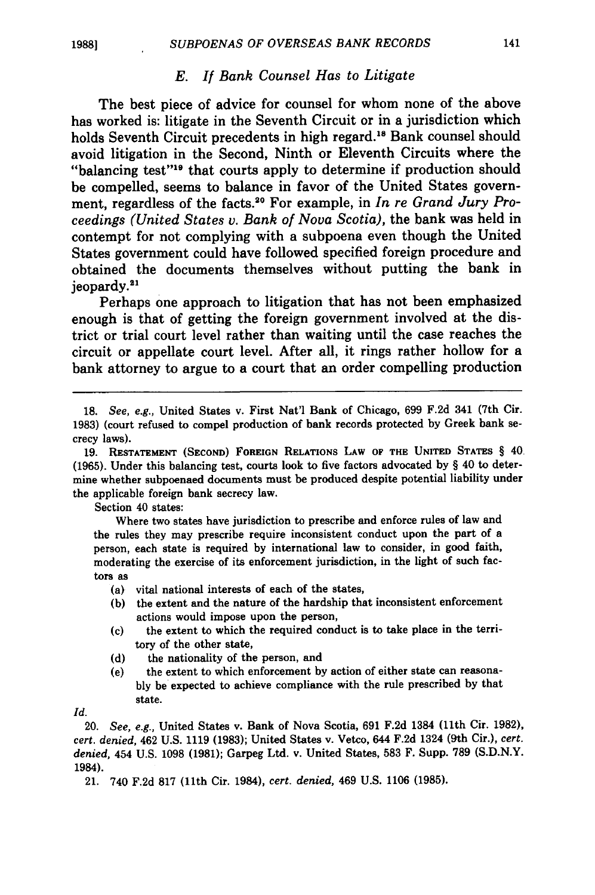#### *E. If Bank Counsel Has to Litigate*

The best piece of advice for counsel for whom none of the above has worked is: litigate in the Seventh Circuit or in a jurisdiction which holds Seventh Circuit precedents in high regard.<sup>18</sup> Bank counsel should avoid litigation in the Second, Ninth or Eleventh Circuits where the "balancing test"<sup>19</sup> that courts apply to determine if production should be compelled, seems to balance in favor of the United States government, regardless of the facts.<sup>20</sup> For example, in *In re Grand Jury Proceedings (United States v. Bank of Nova Scotia),* the bank was held in contempt for not complying with a subpoena even though the United States government could have followed specified foreign procedure and obtained the documents themselves without putting the bank in jeopardy."'

Perhaps one approach to litigation that has not been emphasized enough is that of getting the foreign government involved at the district or trial court level rather than waiting until the case reaches the circuit or appellate court level. After all, it rings rather hollow for a bank attorney to argue to a court that an order compelling production

Section 40 states:

Where two states have jurisdiction to prescribe and enforce rules of law and the rules they may prescribe require inconsistent conduct upon the part of a person, each state is required **by** international law to consider, in good faith, moderating the exercise of its enforcement jurisdiction, in the light of such factors as

- (a) vital national interests of each of the states,
- **(b)** the extent and the nature of the hardship that inconsistent enforcement actions would impose upon the person,
- (c) the extent to which the required conduct is to take place in the territory of the other state,
- **(d)** the nationality of the person, and
- (e) the extent to which enforcement **by** action of either state can reasona**bly** be expected to achieve compliance with the rule prescribed **by** that state.

Id.

20. *See, e.g.,* United States v. Bank of Nova Scotia, **691 F.2d** 1384 (11th Cir. **1982),** *cert. denied,* 462 **U.S. 1119 (1983);** United States v. Vetco, 644 **F.2d** 1324 (9th Cir.), *cert. denied,* 454 **U.S. 1098 (1981);** Garpeg Ltd. v. United States, **583** F. Supp. **789 (S.D.N.Y.** 1984).

21. 740 **F.2d 817 (11th** Cir. 1984), *cert. denied,* 469 **U.S. 1106 (1985).**

<sup>18.</sup> *See, e.g.,* United States v. First Nat'l Bank of Chicago, 699 F.2d 341 (7th Cir. 1983) (court refused to compel production of bank records protected by Greek bank secrecy laws).

<sup>19.</sup> **RESTATEMENT (SECOND)** FOREIGN RELATIONS LAW OF THE **UNITED** STATES § 40 **(1965).** Under this balancing test, courts look to five factors advocated **by** § 40 to determine whether subpoenaed documents must be produced despite potential liability under the applicable foreign bank secrecy law.